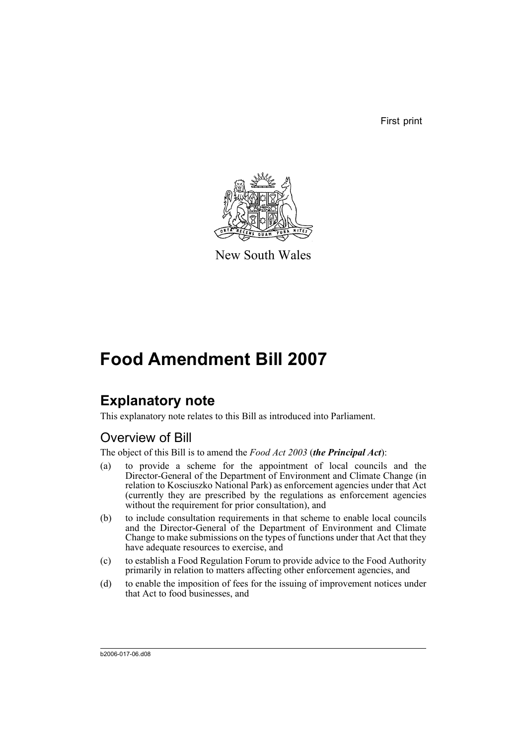First print



New South Wales

# **Food Amendment Bill 2007**

# **Explanatory note**

This explanatory note relates to this Bill as introduced into Parliament.

## Overview of Bill

The object of this Bill is to amend the *Food Act 2003* (*the Principal Act*):

- (a) to provide a scheme for the appointment of local councils and the Director-General of the Department of Environment and Climate Change (in relation to Kosciuszko National Park) as enforcement agencies under that Act (currently they are prescribed by the regulations as enforcement agencies without the requirement for prior consultation), and
- (b) to include consultation requirements in that scheme to enable local councils and the Director-General of the Department of Environment and Climate Change to make submissions on the types of functions under that Act that they have adequate resources to exercise, and
- (c) to establish a Food Regulation Forum to provide advice to the Food Authority primarily in relation to matters affecting other enforcement agencies, and
- (d) to enable the imposition of fees for the issuing of improvement notices under that Act to food businesses, and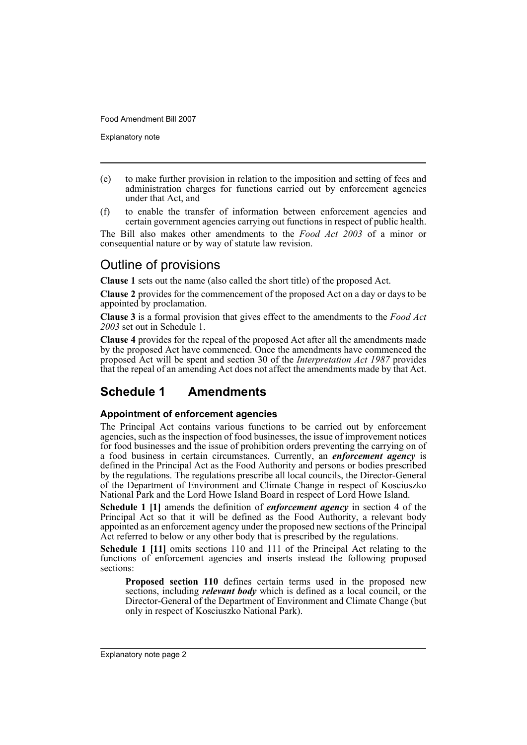Explanatory note

- (e) to make further provision in relation to the imposition and setting of fees and administration charges for functions carried out by enforcement agencies under that Act, and
- (f) to enable the transfer of information between enforcement agencies and certain government agencies carrying out functions in respect of public health.

The Bill also makes other amendments to the *Food Act 2003* of a minor or consequential nature or by way of statute law revision.

## Outline of provisions

**Clause 1** sets out the name (also called the short title) of the proposed Act.

**Clause 2** provides for the commencement of the proposed Act on a day or days to be appointed by proclamation.

**Clause 3** is a formal provision that gives effect to the amendments to the *Food Act 2003* set out in Schedule 1.

**Clause 4** provides for the repeal of the proposed Act after all the amendments made by the proposed Act have commenced. Once the amendments have commenced the proposed Act will be spent and section 30 of the *Interpretation Act 1987* provides that the repeal of an amending Act does not affect the amendments made by that Act.

## **Schedule 1 Amendments**

## **Appointment of enforcement agencies**

The Principal Act contains various functions to be carried out by enforcement agencies, such as the inspection of food businesses, the issue of improvement notices for food businesses and the issue of prohibition orders preventing the carrying on of a food business in certain circumstances. Currently, an *enforcement agency* is defined in the Principal Act as the Food Authority and persons or bodies prescribed by the regulations. The regulations prescribe all local councils, the Director-General of the Department of Environment and Climate Change in respect of Kosciuszko National Park and the Lord Howe Island Board in respect of Lord Howe Island.

**Schedule 1 [1]** amends the definition of *enforcement agency* in section 4 of the Principal Act so that it will be defined as the Food Authority, a relevant body appointed as an enforcement agency under the proposed new sections of the Principal Act referred to below or any other body that is prescribed by the regulations.

**Schedule 1 [11]** omits sections 110 and 111 of the Principal Act relating to the functions of enforcement agencies and inserts instead the following proposed sections:

**Proposed section 110** defines certain terms used in the proposed new sections, including *relevant body* which is defined as a local council, or the Director-General of the Department of Environment and Climate Change (but only in respect of Kosciuszko National Park).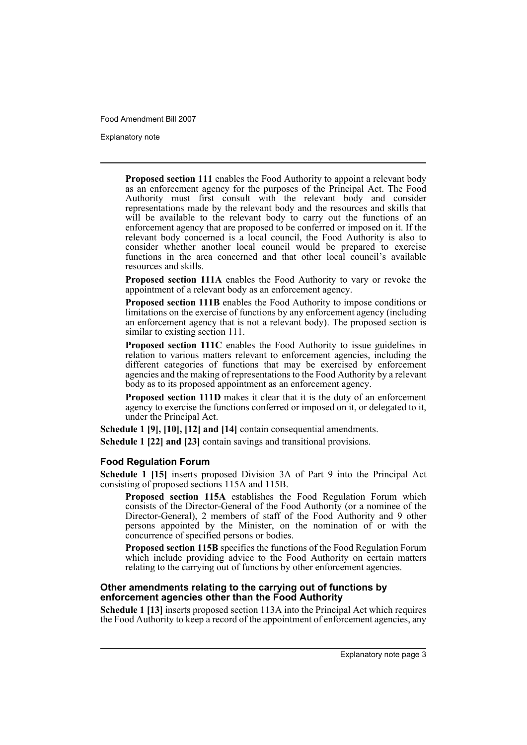Explanatory note

**Proposed section 111** enables the Food Authority to appoint a relevant body as an enforcement agency for the purposes of the Principal Act. The Food Authority must first consult with the relevant body and consider representations made by the relevant body and the resources and skills that will be available to the relevant body to carry out the functions of an enforcement agency that are proposed to be conferred or imposed on it. If the relevant body concerned is a local council, the Food Authority is also to consider whether another local council would be prepared to exercise functions in the area concerned and that other local council's available resources and skills.

**Proposed section 111A** enables the Food Authority to vary or revoke the appointment of a relevant body as an enforcement agency.

**Proposed section 111B** enables the Food Authority to impose conditions or limitations on the exercise of functions by any enforcement agency (including an enforcement agency that is not a relevant body). The proposed section is similar to existing section 111.

**Proposed section 111C** enables the Food Authority to issue guidelines in relation to various matters relevant to enforcement agencies, including the different categories of functions that may be exercised by enforcement agencies and the making of representations to the Food Authority by a relevant body as to its proposed appointment as an enforcement agency.

**Proposed section 111D** makes it clear that it is the duty of an enforcement agency to exercise the functions conferred or imposed on it, or delegated to it, under the Principal Act.

**Schedule 1 [9], [10], [12] and [14]** contain consequential amendments.

**Schedule 1 [22] and [23]** contain savings and transitional provisions.

## **Food Regulation Forum**

**Schedule 1 [15]** inserts proposed Division 3A of Part 9 into the Principal Act consisting of proposed sections 115A and 115B.

**Proposed section 115A** establishes the Food Regulation Forum which consists of the Director-General of the Food Authority (or a nominee of the Director-General), 2 members of staff of the Food Authority and 9 other persons appointed by the Minister, on the nomination of or with the concurrence of specified persons or bodies.

**Proposed section 115B** specifies the functions of the Food Regulation Forum which include providing advice to the Food Authority on certain matters relating to the carrying out of functions by other enforcement agencies.

### **Other amendments relating to the carrying out of functions by enforcement agencies other than the Food Authority**

**Schedule 1 [13]** inserts proposed section 113A into the Principal Act which requires the Food Authority to keep a record of the appointment of enforcement agencies, any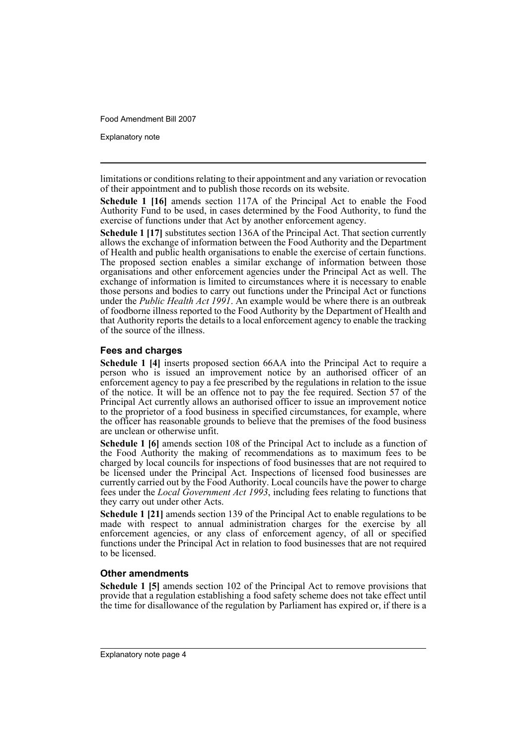Explanatory note

limitations or conditions relating to their appointment and any variation or revocation of their appointment and to publish those records on its website.

**Schedule 1 [16]** amends section 117A of the Principal Act to enable the Food Authority Fund to be used, in cases determined by the Food Authority, to fund the exercise of functions under that Act by another enforcement agency.

**Schedule 1 [17]** substitutes section 136A of the Principal Act. That section currently allows the exchange of information between the Food Authority and the Department of Health and public health organisations to enable the exercise of certain functions. The proposed section enables a similar exchange of information between those organisations and other enforcement agencies under the Principal Act as well. The exchange of information is limited to circumstances where it is necessary to enable those persons and bodies to carry out functions under the Principal Act or functions under the *Public Health Act 1991*. An example would be where there is an outbreak of foodborne illness reported to the Food Authority by the Department of Health and that Authority reports the details to a local enforcement agency to enable the tracking of the source of the illness.

## **Fees and charges**

**Schedule 1 [4]** inserts proposed section 66AA into the Principal Act to require a person who is issued an improvement notice by an authorised officer of an enforcement agency to pay a fee prescribed by the regulations in relation to the issue of the notice. It will be an offence not to pay the fee required. Section 57 of the Principal Act currently allows an authorised officer to issue an improvement notice to the proprietor of a food business in specified circumstances, for example, where the officer has reasonable grounds to believe that the premises of the food business are unclean or otherwise unfit.

**Schedule 1 [6]** amends section 108 of the Principal Act to include as a function of the Food Authority the making of recommendations as to maximum fees to be charged by local councils for inspections of food businesses that are not required to be licensed under the Principal Act. Inspections of licensed food businesses are currently carried out by the Food Authority. Local councils have the power to charge fees under the *Local Government Act 1993*, including fees relating to functions that they carry out under other Acts.

**Schedule 1 [21]** amends section 139 of the Principal Act to enable regulations to be made with respect to annual administration charges for the exercise by all enforcement agencies, or any class of enforcement agency, of all or specified functions under the Principal Act in relation to food businesses that are not required to be licensed.

## **Other amendments**

**Schedule 1 [5]** amends section 102 of the Principal Act to remove provisions that provide that a regulation establishing a food safety scheme does not take effect until the time for disallowance of the regulation by Parliament has expired or, if there is a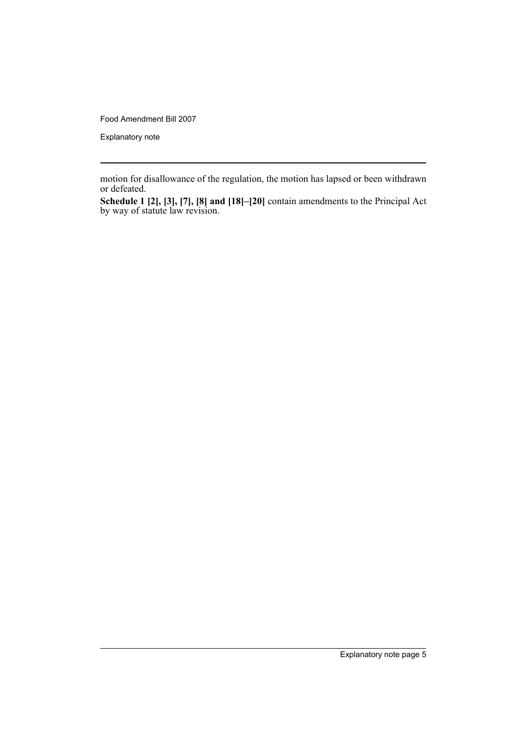Explanatory note

motion for disallowance of the regulation, the motion has lapsed or been withdrawn or defeated.

**Schedule 1 [2], [3], [7], [8] and [18]–[20]** contain amendments to the Principal Act by way of statute law revision.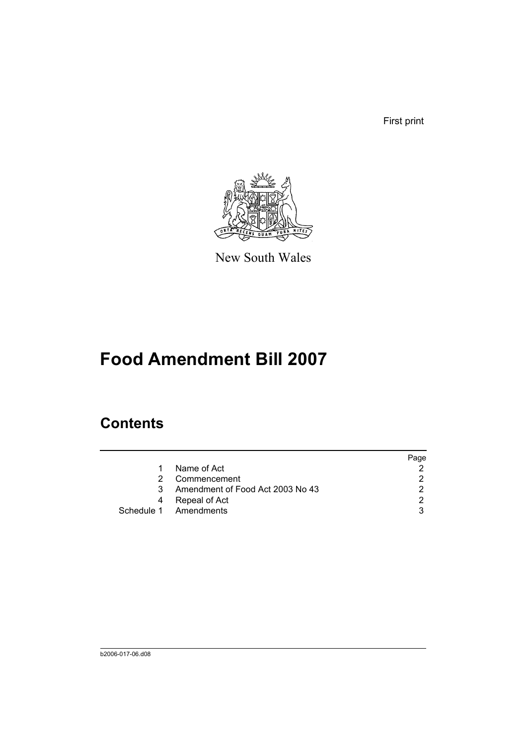First print



New South Wales

# **Food Amendment Bill 2007**

# **Contents**

|   |                                  | Page |
|---|----------------------------------|------|
|   | Name of Act                      |      |
|   | Commencement                     |      |
| 3 | Amendment of Food Act 2003 No 43 |      |
|   | Repeal of Act                    |      |
|   | Schedule 1 Amendments            |      |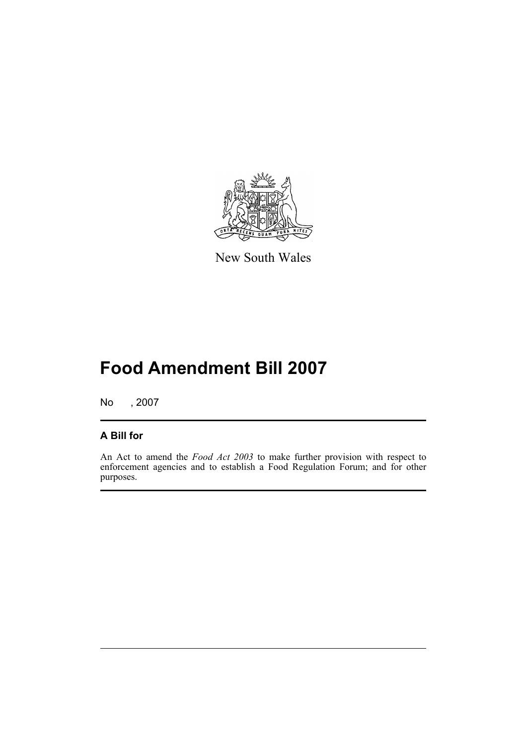

New South Wales

# **Food Amendment Bill 2007**

No , 2007

## **A Bill for**

An Act to amend the *Food Act 2003* to make further provision with respect to enforcement agencies and to establish a Food Regulation Forum; and for other purposes.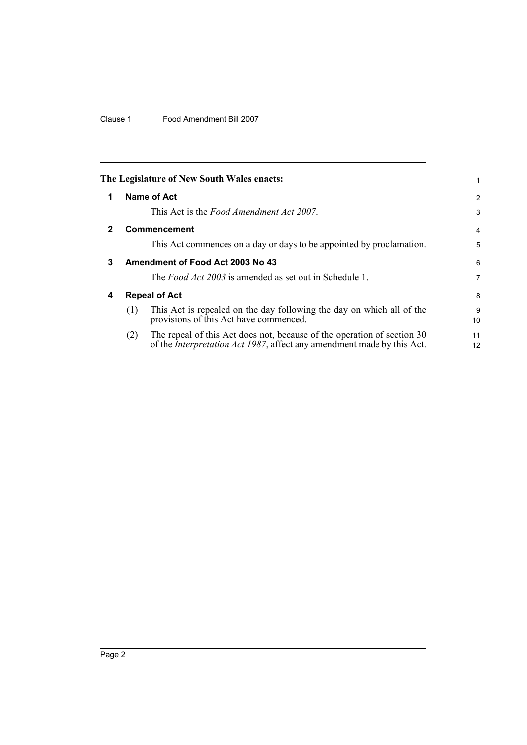<span id="page-9-3"></span><span id="page-9-2"></span><span id="page-9-1"></span><span id="page-9-0"></span>

|              |     | The Legislature of New South Wales enacts:                                                                                                                |          |
|--------------|-----|-----------------------------------------------------------------------------------------------------------------------------------------------------------|----------|
| 1            |     | Name of Act                                                                                                                                               | 2        |
|              |     | This Act is the <i>Food Amendment Act 2007</i> .                                                                                                          | 3        |
| $\mathbf{2}$ |     | <b>Commencement</b>                                                                                                                                       | 4        |
|              |     | This Act commences on a day or days to be appointed by proclamation.                                                                                      | 5        |
| 3            |     | Amendment of Food Act 2003 No 43                                                                                                                          | 6        |
|              |     | The <i>Food Act 2003</i> is amended as set out in Schedule 1.                                                                                             | 7        |
| 4            |     | <b>Repeal of Act</b>                                                                                                                                      | 8        |
|              | (1) | This Act is repealed on the day following the day on which all of the<br>provisions of this Act have commenced.                                           | 9<br>10  |
|              | (2) | The repeal of this Act does not, because of the operation of section 30<br>of the <i>Interpretation Act 1987</i> , affect any amendment made by this Act. | 11<br>12 |
|              |     |                                                                                                                                                           |          |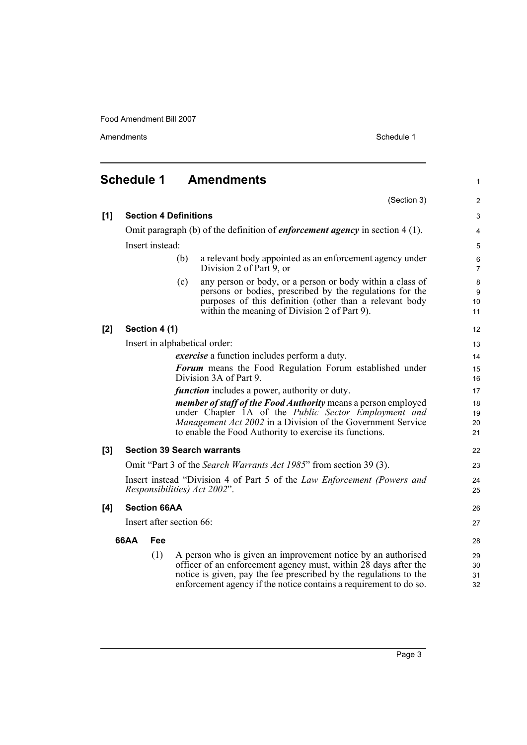<span id="page-10-0"></span>

|     | <b>Schedule 1</b>                                    |                     |                              | <b>Amendments</b>                                                                                                                                                                                                                                                         | 1                    |  |
|-----|------------------------------------------------------|---------------------|------------------------------|---------------------------------------------------------------------------------------------------------------------------------------------------------------------------------------------------------------------------------------------------------------------------|----------------------|--|
|     |                                                      |                     |                              | (Section 3)                                                                                                                                                                                                                                                               | 2                    |  |
| [1] |                                                      |                     | <b>Section 4 Definitions</b> |                                                                                                                                                                                                                                                                           | $\mathsf 3$          |  |
|     |                                                      |                     |                              | Omit paragraph (b) of the definition of <i>enforcement agency</i> in section $4(1)$ .                                                                                                                                                                                     | 4                    |  |
|     |                                                      | Insert instead:     |                              |                                                                                                                                                                                                                                                                           | 5                    |  |
|     |                                                      |                     | (b)                          | a relevant body appointed as an enforcement agency under<br>Division 2 of Part 9, or                                                                                                                                                                                      | 6<br>7               |  |
|     |                                                      |                     | (c)                          | any person or body, or a person or body within a class of<br>persons or bodies, prescribed by the regulations for the<br>purposes of this definition (other than a relevant body<br>within the meaning of Division 2 of Part 9).                                          | 8<br>9<br>10<br>11   |  |
| [2] |                                                      | Section 4 (1)       |                              |                                                                                                                                                                                                                                                                           | 12                   |  |
|     |                                                      |                     |                              | Insert in alphabetical order:                                                                                                                                                                                                                                             | 13                   |  |
|     |                                                      |                     |                              | <i>exercise</i> a function includes perform a duty.                                                                                                                                                                                                                       | 14                   |  |
|     |                                                      |                     |                              | <b>Forum</b> means the Food Regulation Forum established under<br>Division 3A of Part 9.                                                                                                                                                                                  | 15<br>16             |  |
|     | <i>function</i> includes a power, authority or duty. |                     |                              |                                                                                                                                                                                                                                                                           |                      |  |
|     |                                                      |                     |                              | <i>member of staff of the Food Authority</i> means a person employed<br>under Chapter 1A of the Public Sector Employment and<br><i>Management Act 2002</i> in a Division of the Government Service<br>to enable the Food Authority to exercise its functions.             | 18<br>19<br>20<br>21 |  |
| [3] |                                                      |                     |                              | <b>Section 39 Search warrants</b>                                                                                                                                                                                                                                         | 22                   |  |
|     |                                                      |                     |                              | Omit "Part 3 of the Search Warrants Act 1985" from section 39 (3).                                                                                                                                                                                                        | 23                   |  |
|     |                                                      |                     |                              | Insert instead "Division 4 of Part 5 of the Law Enforcement (Powers and<br>Responsibilities) Act 2002".                                                                                                                                                                   | 24<br>25             |  |
| [4] |                                                      | <b>Section 66AA</b> |                              |                                                                                                                                                                                                                                                                           | 26                   |  |
|     |                                                      |                     | Insert after section 66:     |                                                                                                                                                                                                                                                                           | 27                   |  |
|     | <b>66AA</b>                                          | Fee                 |                              |                                                                                                                                                                                                                                                                           | 28                   |  |
|     |                                                      | (1)                 |                              | A person who is given an improvement notice by an authorised<br>officer of an enforcement agency must, within 28 days after the<br>notice is given, pay the fee prescribed by the regulations to the<br>enforcement agency if the notice contains a requirement to do so. | 29<br>30<br>31<br>32 |  |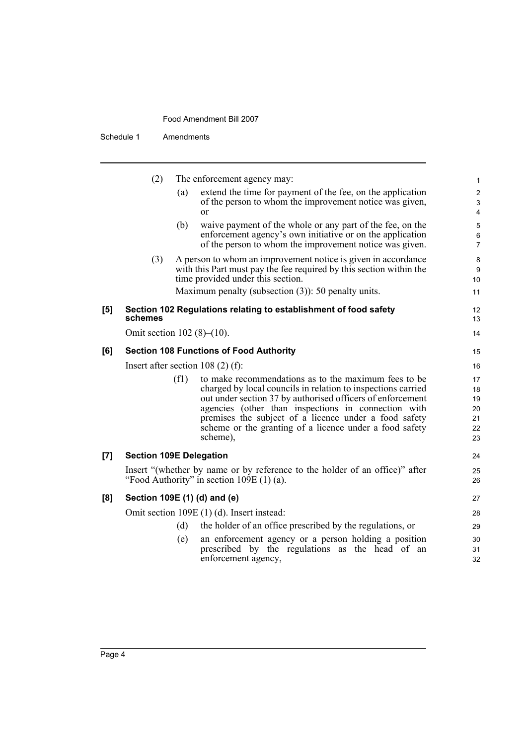|     | (2)                            |      | The enforcement agency may:                                                                                                                                                                                                                                                                                                                                               | 1                                      |
|-----|--------------------------------|------|---------------------------------------------------------------------------------------------------------------------------------------------------------------------------------------------------------------------------------------------------------------------------------------------------------------------------------------------------------------------------|----------------------------------------|
|     |                                | (a)  | extend the time for payment of the fee, on the application<br>of the person to whom the improvement notice was given,<br>or                                                                                                                                                                                                                                               | 2<br>3<br>4                            |
|     |                                | (b)  | waive payment of the whole or any part of the fee, on the<br>enforcement agency's own initiative or on the application<br>of the person to whom the improvement notice was given.                                                                                                                                                                                         | 5<br>6<br>$\overline{7}$               |
|     | (3)                            |      | A person to whom an improvement notice is given in accordance<br>with this Part must pay the fee required by this section within the<br>time provided under this section.                                                                                                                                                                                                 | 8<br>9<br>10                           |
|     |                                |      | Maximum penalty (subsection $(3)$ ): 50 penalty units.                                                                                                                                                                                                                                                                                                                    | 11                                     |
| [5] | schemes                        |      | Section 102 Regulations relating to establishment of food safety                                                                                                                                                                                                                                                                                                          | 12<br>13                               |
|     | Omit section $102 (8)–(10)$ .  |      |                                                                                                                                                                                                                                                                                                                                                                           | 14                                     |
| [6] |                                |      | <b>Section 108 Functions of Food Authority</b>                                                                                                                                                                                                                                                                                                                            | 15                                     |
|     |                                |      | Insert after section $108(2)$ (f):                                                                                                                                                                                                                                                                                                                                        | 16                                     |
|     |                                | (f1) | to make recommendations as to the maximum fees to be<br>charged by local councils in relation to inspections carried<br>out under section 37 by authorised officers of enforcement<br>agencies (other than inspections in connection with<br>premises the subject of a licence under a food safety<br>scheme or the granting of a licence under a food safety<br>scheme), | 17<br>18<br>19<br>20<br>21<br>22<br>23 |
| [7] | <b>Section 109E Delegation</b> |      |                                                                                                                                                                                                                                                                                                                                                                           | 24                                     |
|     |                                |      | Insert "(whether by name or by reference to the holder of an office)" after<br>"Food Authority" in section $109E(1)$ (a).                                                                                                                                                                                                                                                 | 25<br>26                               |
| [8] |                                |      | Section 109E (1) (d) and (e)                                                                                                                                                                                                                                                                                                                                              | 27                                     |
|     |                                |      | Omit section 109E (1) (d). Insert instead:                                                                                                                                                                                                                                                                                                                                | 28                                     |
|     |                                | (d)  | the holder of an office prescribed by the regulations, or                                                                                                                                                                                                                                                                                                                 | 29                                     |
|     |                                | (e)  | an enforcement agency or a person holding a position<br>prescribed by the regulations as the head of an<br>enforcement agency,                                                                                                                                                                                                                                            | 30<br>31<br>32                         |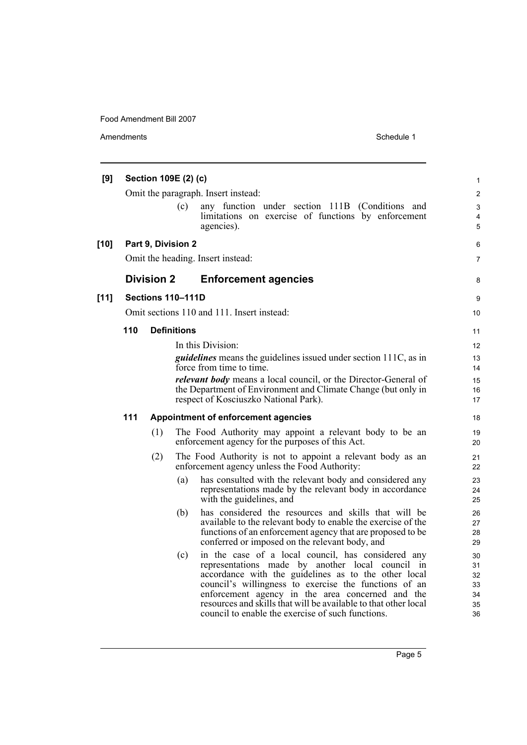| [9]    |     | Section 109E (2) (c)     |                    |                                                                                                                      | $\mathbf{1}$   |
|--------|-----|--------------------------|--------------------|----------------------------------------------------------------------------------------------------------------------|----------------|
|        |     |                          |                    | Omit the paragraph. Insert instead:                                                                                  | $\overline{2}$ |
|        |     |                          | (c)                | any function under section 111B (Conditions and                                                                      | 3              |
|        |     |                          |                    | limitations on exercise of functions by enforcement                                                                  | 4              |
|        |     |                          |                    | agencies).                                                                                                           | 5              |
| $[10]$ |     | Part 9, Division 2       |                    |                                                                                                                      | 6              |
|        |     |                          |                    | Omit the heading. Insert instead:                                                                                    | $\overline{7}$ |
|        |     | <b>Division 2</b>        |                    | <b>Enforcement agencies</b>                                                                                          | 8              |
| $[11]$ |     | <b>Sections 110-111D</b> |                    |                                                                                                                      | 9              |
|        |     |                          |                    | Omit sections 110 and 111. Insert instead:                                                                           | 10             |
|        | 110 |                          | <b>Definitions</b> |                                                                                                                      | 11             |
|        |     |                          |                    | In this Division:                                                                                                    | 12             |
|        |     |                          |                    | <i>guidelines</i> means the guidelines issued under section 111C, as in                                              | 13             |
|        |     |                          |                    | force from time to time.                                                                                             | 14             |
|        |     |                          |                    | <i>relevant body</i> means a local council, or the Director-General of                                               | 15             |
|        |     |                          |                    | the Department of Environment and Climate Change (but only in<br>respect of Kosciuszko National Park).               | 16<br>17       |
|        |     |                          |                    |                                                                                                                      |                |
|        | 111 |                          |                    | <b>Appointment of enforcement agencies</b>                                                                           | 18             |
|        |     | (1)                      |                    | The Food Authority may appoint a relevant body to be an                                                              | 19             |
|        |     |                          |                    | enforcement agency for the purposes of this Act.                                                                     | 20             |
|        |     | (2)                      |                    | The Food Authority is not to appoint a relevant body as an<br>enforcement agency unless the Food Authority:          | 21<br>22       |
|        |     |                          | (a)                | has consulted with the relevant body and considered any                                                              | 23             |
|        |     |                          |                    | representations made by the relevant body in accordance                                                              | 24             |
|        |     |                          |                    | with the guidelines, and                                                                                             | 25             |
|        |     |                          | (b)                | has considered the resources and skills that will be<br>available to the relevant body to enable the exercise of the | 26<br>27       |
|        |     |                          |                    | functions of an enforcement agency that are proposed to be                                                           | 28             |
|        |     |                          |                    | conferred or imposed on the relevant body, and                                                                       | 29             |
|        |     |                          | (c)                | in the case of a local council, has considered any                                                                   | 30             |
|        |     |                          |                    | representations made by another local council in                                                                     | 31             |
|        |     |                          |                    | accordance with the guidelines as to the other local                                                                 | 32<br>33       |
|        |     |                          |                    | council's willingness to exercise the functions of an<br>enforcement agency in the area concerned and the            | 34             |
|        |     |                          |                    | resources and skills that will be available to that other local                                                      | 35             |
|        |     |                          |                    | council to enable the exercise of such functions.                                                                    | 36             |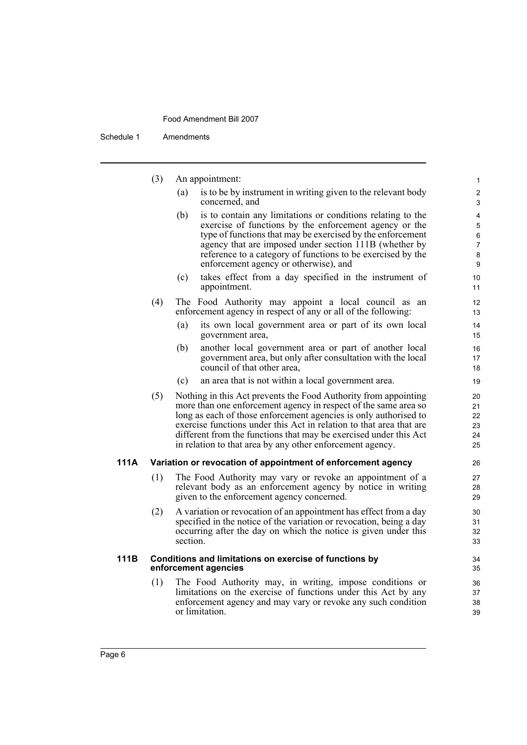|      | (3) | An appointment:                                                                                                                                                                                                                                                                                                                                                                                                 | $\mathbf{1}$                            |
|------|-----|-----------------------------------------------------------------------------------------------------------------------------------------------------------------------------------------------------------------------------------------------------------------------------------------------------------------------------------------------------------------------------------------------------------------|-----------------------------------------|
|      |     | (a)<br>is to be by instrument in writing given to the relevant body<br>concerned, and                                                                                                                                                                                                                                                                                                                           | $\overline{2}$<br>3                     |
|      |     | (b)<br>is to contain any limitations or conditions relating to the<br>exercise of functions by the enforcement agency or the<br>type of functions that may be exercised by the enforcement<br>agency that are imposed under section 111B (whether by<br>reference to a category of functions to be exercised by the<br>enforcement agency or otherwise), and                                                    | 4<br>5<br>6<br>$\overline{7}$<br>8<br>9 |
|      |     | takes effect from a day specified in the instrument of<br>(c)<br>appointment.                                                                                                                                                                                                                                                                                                                                   | 10<br>11                                |
|      | (4) | The Food Authority may appoint a local council as an<br>enforcement agency in respect of any or all of the following:                                                                                                                                                                                                                                                                                           | 12<br>13                                |
|      |     | (a)<br>its own local government area or part of its own local<br>government area,                                                                                                                                                                                                                                                                                                                               | 14<br>15                                |
|      |     | (b)<br>another local government area or part of another local<br>government area, but only after consultation with the local<br>council of that other area,                                                                                                                                                                                                                                                     | 16<br>17<br>18                          |
|      |     | (c)<br>an area that is not within a local government area.                                                                                                                                                                                                                                                                                                                                                      | 19                                      |
|      | (5) | Nothing in this Act prevents the Food Authority from appointing<br>more than one enforcement agency in respect of the same area so<br>long as each of those enforcement agencies is only authorised to<br>exercise functions under this Act in relation to that area that are<br>different from the functions that may be exercised under this Act<br>in relation to that area by any other enforcement agency. | 20<br>21<br>22<br>23<br>24<br>25        |
| 111A |     | Variation or revocation of appointment of enforcement agency                                                                                                                                                                                                                                                                                                                                                    | 26                                      |
|      | (1) | The Food Authority may vary or revoke an appointment of a<br>relevant body as an enforcement agency by notice in writing<br>given to the enforcement agency concerned.                                                                                                                                                                                                                                          | 27<br>28<br>29                          |
|      | (2) | A variation or revocation of an appointment has effect from a day<br>specified in the notice of the variation or revocation, being a day<br>occurring after the day on which the notice is given under this<br>section.                                                                                                                                                                                         | 30<br>31<br>32<br>33                    |
| 111B |     | Conditions and limitations on exercise of functions by<br>enforcement agencies                                                                                                                                                                                                                                                                                                                                  | 34<br>35                                |
|      | (1) | The Food Authority may, in writing, impose conditions or<br>limitations on the exercise of functions under this Act by any<br>enforcement agency and may vary or revoke any such condition<br>or limitation.                                                                                                                                                                                                    | 36<br>37<br>38<br>39                    |
|      |     |                                                                                                                                                                                                                                                                                                                                                                                                                 |                                         |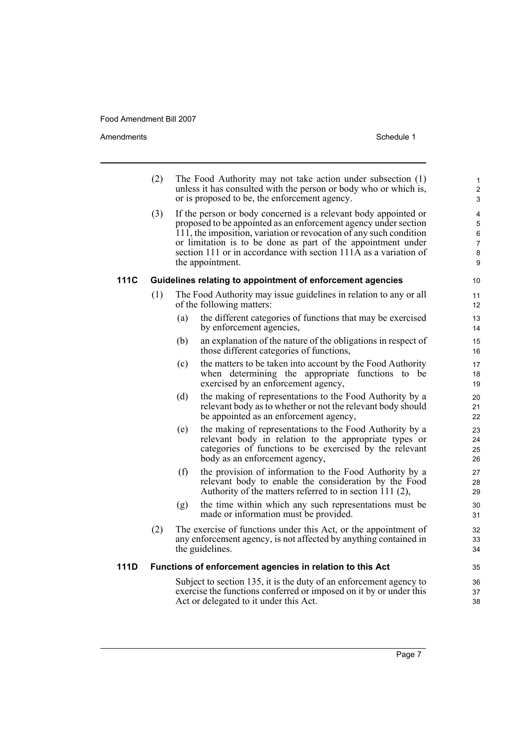|      | (2) | The Food Authority may not take action under subsection (1)<br>unless it has consulted with the person or body who or which is,<br>or is proposed to be, the enforcement agency.                                                                                                                                                                                 | $\mathbf{1}$<br>$\mathbf 2$<br>3        |
|------|-----|------------------------------------------------------------------------------------------------------------------------------------------------------------------------------------------------------------------------------------------------------------------------------------------------------------------------------------------------------------------|-----------------------------------------|
|      | (3) | If the person or body concerned is a relevant body appointed or<br>proposed to be appointed as an enforcement agency under section<br>111, the imposition, variation or revocation of any such condition<br>or limitation is to be done as part of the appointment under<br>section 111 or in accordance with section 111A as a variation of<br>the appointment. | 4<br>5<br>6<br>$\overline{7}$<br>8<br>9 |
| 111C |     | Guidelines relating to appointment of enforcement agencies                                                                                                                                                                                                                                                                                                       | 10                                      |
|      | (1) | The Food Authority may issue guidelines in relation to any or all<br>of the following matters:                                                                                                                                                                                                                                                                   | 11<br>12                                |
|      |     | the different categories of functions that may be exercised<br>(a)<br>by enforcement agencies,                                                                                                                                                                                                                                                                   | 13<br>14                                |
|      |     | an explanation of the nature of the obligations in respect of<br>(b)<br>those different categories of functions,                                                                                                                                                                                                                                                 | 15<br>16                                |
|      |     | (c)<br>the matters to be taken into account by the Food Authority<br>when determining the appropriate functions to be<br>exercised by an enforcement agency,                                                                                                                                                                                                     | 17<br>18<br>19                          |
|      |     | the making of representations to the Food Authority by a<br>(d)<br>relevant body as to whether or not the relevant body should<br>be appointed as an enforcement agency,                                                                                                                                                                                         | 20<br>21<br>22                          |
|      |     | the making of representations to the Food Authority by a<br>(e)<br>relevant body in relation to the appropriate types or<br>categories of functions to be exercised by the relevant<br>body as an enforcement agency,                                                                                                                                            | 23<br>24<br>25<br>26                    |
|      |     | (f)<br>the provision of information to the Food Authority by a<br>relevant body to enable the consideration by the Food<br>Authority of the matters referred to in section 111 $(2)$ ,                                                                                                                                                                           | 27<br>28<br>29                          |
|      |     | the time within which any such representations must be<br>(g)<br>made or information must be provided.                                                                                                                                                                                                                                                           | 30<br>31                                |
|      | (2) | The exercise of functions under this Act, or the appointment of<br>any enforcement agency, is not affected by anything contained in<br>the guidelines.                                                                                                                                                                                                           | 32<br>33<br>34                          |
| 111D |     | Functions of enforcement agencies in relation to this Act                                                                                                                                                                                                                                                                                                        | 35                                      |
|      |     | Subject to section 135, it is the duty of an enforcement agency to<br>exercise the functions conferred or imposed on it by or under this<br>Act or delegated to it under this Act.                                                                                                                                                                               | 36<br>37<br>38                          |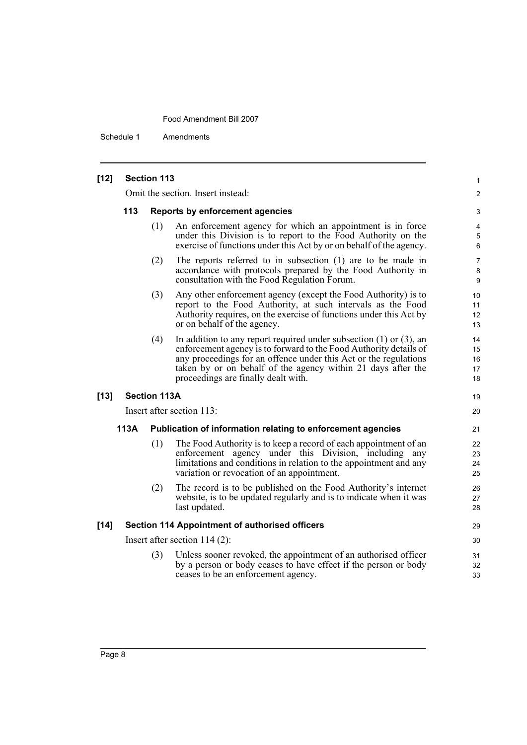| $[12]$ |      | <b>Section 113</b>  |                                                                                                                                                                                                                                                                                                                         | 1                          |
|--------|------|---------------------|-------------------------------------------------------------------------------------------------------------------------------------------------------------------------------------------------------------------------------------------------------------------------------------------------------------------------|----------------------------|
|        |      |                     | Omit the section. Insert instead:                                                                                                                                                                                                                                                                                       | 2                          |
|        | 113  |                     | <b>Reports by enforcement agencies</b>                                                                                                                                                                                                                                                                                  | 3                          |
|        |      | (1)                 | An enforcement agency for which an appointment is in force<br>under this Division is to report to the Food Authority on the<br>exercise of functions under this Act by or on behalf of the agency.                                                                                                                      | 4<br>5<br>6                |
|        |      | (2)                 | The reports referred to in subsection (1) are to be made in<br>accordance with protocols prepared by the Food Authority in<br>consultation with the Food Regulation Forum.                                                                                                                                              | 7<br>8<br>9                |
|        |      | (3)                 | Any other enforcement agency (except the Food Authority) is to<br>report to the Food Authority, at such intervals as the Food<br>Authority requires, on the exercise of functions under this Act by<br>or on behalf of the agency.                                                                                      | 10<br>11<br>12<br>13       |
|        |      | (4)                 | In addition to any report required under subsection $(1)$ or $(3)$ , an<br>enforcement agency is to forward to the Food Authority details of<br>any proceedings for an offence under this Act or the regulations<br>taken by or on behalf of the agency within 21 days after the<br>proceedings are finally dealt with. | 14<br>15<br>16<br>17<br>18 |
| $[13]$ |      | <b>Section 113A</b> |                                                                                                                                                                                                                                                                                                                         | 19                         |
|        |      |                     | Insert after section 113:                                                                                                                                                                                                                                                                                               | 20                         |
|        | 113A |                     | Publication of information relating to enforcement agencies                                                                                                                                                                                                                                                             | 21                         |
|        |      | (1)                 | The Food Authority is to keep a record of each appointment of an<br>enforcement agency under this Division, including any<br>limitations and conditions in relation to the appointment and any<br>variation or revocation of an appointment.                                                                            | 22<br>23<br>24<br>25       |
|        |      | (2)                 | The record is to be published on the Food Authority's internet<br>website, is to be updated regularly and is to indicate when it was<br>last updated.                                                                                                                                                                   | 26<br>27<br>28             |
| $[14]$ |      |                     | <b>Section 114 Appointment of authorised officers</b>                                                                                                                                                                                                                                                                   | 29                         |
|        |      |                     | Insert after section $114(2)$ :                                                                                                                                                                                                                                                                                         | 30                         |
|        |      | (3)                 | Unless sooner revoked, the appointment of an authorised officer<br>by a person or body ceases to have effect if the person or body<br>ceases to be an enforcement agency.                                                                                                                                               | 31<br>32<br>33             |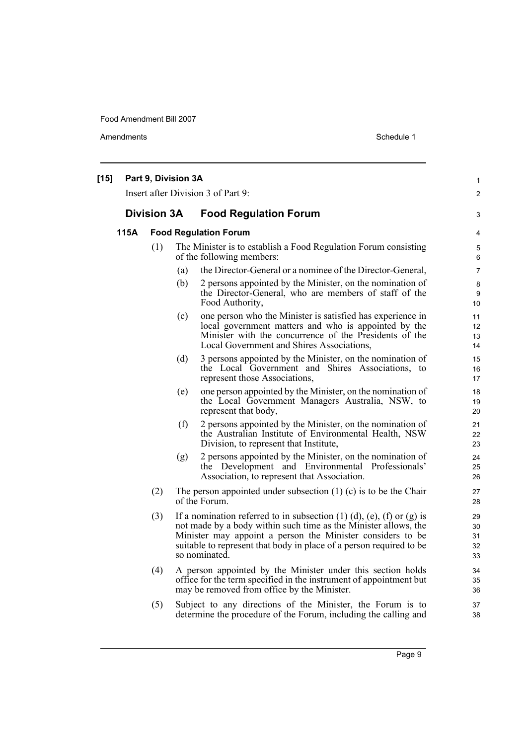| $[15]$ |      | Part 9, Division 3A |     | Insert after Division 3 of Part 9:                                                                                                                                                                                                                                                                         | $\mathbf{1}$<br>$\overline{c}$ |
|--------|------|---------------------|-----|------------------------------------------------------------------------------------------------------------------------------------------------------------------------------------------------------------------------------------------------------------------------------------------------------------|--------------------------------|
|        |      | <b>Division 3A</b>  |     | <b>Food Regulation Forum</b>                                                                                                                                                                                                                                                                               | 3                              |
|        | 115A |                     |     | <b>Food Regulation Forum</b>                                                                                                                                                                                                                                                                               | 4                              |
|        |      | (1)                 |     | The Minister is to establish a Food Regulation Forum consisting<br>of the following members:                                                                                                                                                                                                               | 5<br>6                         |
|        |      |                     | (a) | the Director-General or a nominee of the Director-General,                                                                                                                                                                                                                                                 | 7                              |
|        |      |                     | (b) | 2 persons appointed by the Minister, on the nomination of<br>the Director-General, who are members of staff of the<br>Food Authority,                                                                                                                                                                      | 8<br>9<br>10                   |
|        |      |                     | (c) | one person who the Minister is satisfied has experience in<br>local government matters and who is appointed by the<br>Minister with the concurrence of the Presidents of the<br>Local Government and Shires Associations,                                                                                  | 11<br>12<br>13<br>14           |
|        |      |                     | (d) | 3 persons appointed by the Minister, on the nomination of<br>the Local Government and Shires Associations, to<br>represent those Associations,                                                                                                                                                             | 15<br>16<br>17                 |
|        |      |                     | (e) | one person appointed by the Minister, on the nomination of<br>the Local Government Managers Australia, NSW, to<br>represent that body,                                                                                                                                                                     | 18<br>19<br>20                 |
|        |      |                     | (f) | 2 persons appointed by the Minister, on the nomination of<br>the Australian Institute of Environmental Health, NSW<br>Division, to represent that Institute,                                                                                                                                               | 21<br>22<br>23                 |
|        |      |                     | (g) | 2 persons appointed by the Minister, on the nomination of<br>the Development and Environmental Professionals'<br>Association, to represent that Association.                                                                                                                                               | 24<br>25<br>26                 |
|        |      | (2)                 |     | The person appointed under subsection $(1)$ (c) is to be the Chair<br>of the Forum.                                                                                                                                                                                                                        | 27<br>28                       |
|        |      | (3)                 |     | If a nomination referred to in subsection $(1)$ $(d)$ , $(e)$ , $(f)$ or $(g)$ is<br>not made by a body within such time as the Minister allows, the<br>Minister may appoint a person the Minister considers to be<br>suitable to represent that body in place of a person required to be<br>so nominated. | 29<br>30<br>31<br>32<br>33     |
|        |      | (4)                 |     | A person appointed by the Minister under this section holds<br>office for the term specified in the instrument of appointment but<br>may be removed from office by the Minister.                                                                                                                           | 34<br>35<br>36                 |
|        |      | (5)                 |     | Subject to any directions of the Minister, the Forum is to<br>determine the procedure of the Forum, including the calling and                                                                                                                                                                              | 37<br>38                       |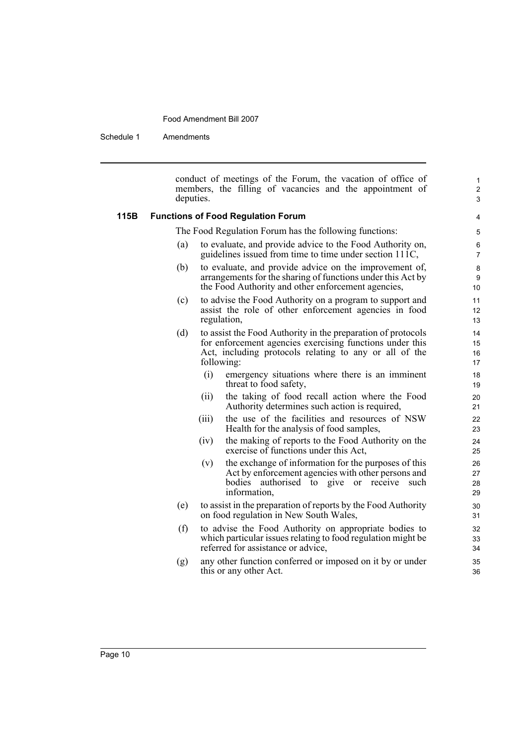Schedule 1 Amendments

conduct of meetings of the Forum, the vacation of office of members, the filling of vacancies and the appointment of deputies.

1 2 3

#### **115B Functions of Food Regulation Forum**

The Food Regulation Forum has the following functions:

- (a) to evaluate, and provide advice to the Food Authority on, guidelines issued from time to time under section 111C,
- (b) to evaluate, and provide advice on the improvement of, arrangements for the sharing of functions under this Act by the Food Authority and other enforcement agencies,
- (c) to advise the Food Authority on a program to support and assist the role of other enforcement agencies in food regulation,
- (d) to assist the Food Authority in the preparation of protocols for enforcement agencies exercising functions under this Act, including protocols relating to any or all of the following:
	- (i) emergency situations where there is an imminent threat to food safety,
	- (ii) the taking of food recall action where the Food Authority determines such action is required,
	- (iii) the use of the facilities and resources of NSW Health for the analysis of food samples,
	- (iv) the making of reports to the Food Authority on the exercise of functions under this Act,
	- (v) the exchange of information for the purposes of this Act by enforcement agencies with other persons and bodies authorised to give or receive such information,
- (e) to assist in the preparation of reports by the Food Authority on food regulation in New South Wales,
- (f) to advise the Food Authority on appropriate bodies to which particular issues relating to food regulation might be referred for assistance or advice,
- (g) any other function conferred or imposed on it by or under this or any other Act.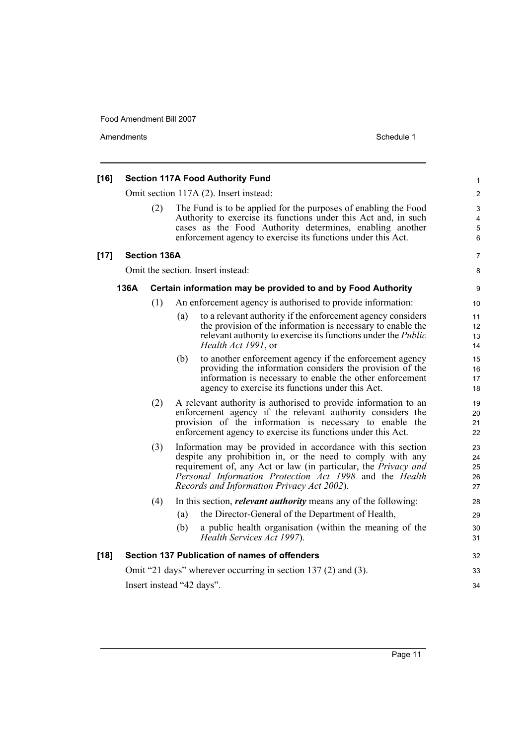| $[16]$ |      |                     |     | <b>Section 117A Food Authority Fund</b>                                                                                                                                                                                                                                                              | 1                          |
|--------|------|---------------------|-----|------------------------------------------------------------------------------------------------------------------------------------------------------------------------------------------------------------------------------------------------------------------------------------------------------|----------------------------|
|        |      |                     |     | Omit section 117A (2). Insert instead:                                                                                                                                                                                                                                                               | 2                          |
|        |      | (2)                 |     | The Fund is to be applied for the purposes of enabling the Food<br>Authority to exercise its functions under this Act and, in such<br>cases as the Food Authority determines, enabling another<br>enforcement agency to exercise its functions under this Act.                                       | 3<br>4<br>5<br>6           |
| $[17]$ |      | <b>Section 136A</b> |     |                                                                                                                                                                                                                                                                                                      | 7                          |
|        |      |                     |     | Omit the section. Insert instead:                                                                                                                                                                                                                                                                    | 8                          |
|        | 136A |                     |     | Certain information may be provided to and by Food Authority                                                                                                                                                                                                                                         | 9                          |
|        |      | (1)                 |     | An enforcement agency is authorised to provide information:                                                                                                                                                                                                                                          | 10                         |
|        |      |                     | (a) | to a relevant authority if the enforcement agency considers<br>the provision of the information is necessary to enable the<br>relevant authority to exercise its functions under the <i>Public</i><br>Health Act 1991, or                                                                            | 11<br>12<br>13<br>14       |
|        |      |                     | (b) | to another enforcement agency if the enforcement agency<br>providing the information considers the provision of the<br>information is necessary to enable the other enforcement<br>agency to exercise its functions under this Act.                                                                  | 15<br>16<br>17<br>18       |
|        |      | (2)                 |     | A relevant authority is authorised to provide information to an<br>enforcement agency if the relevant authority considers the<br>provision of the information is necessary to enable the<br>enforcement agency to exercise its functions under this Act.                                             | 19<br>20<br>21<br>22       |
|        |      | (3)                 |     | Information may be provided in accordance with this section<br>despite any prohibition in, or the need to comply with any<br>requirement of, any Act or law (in particular, the Privacy and<br>Personal Information Protection Act 1998 and the Health<br>Records and Information Privacy Act 2002). | 23<br>24<br>25<br>26<br>27 |
|        |      | (4)                 |     | In this section, <i>relevant authority</i> means any of the following:                                                                                                                                                                                                                               | 28                         |
|        |      |                     | (a) | the Director-General of the Department of Health,                                                                                                                                                                                                                                                    | 29                         |
|        |      |                     | (b) | a public health organisation (within the meaning of the<br>Health Services Act 1997).                                                                                                                                                                                                                | 30<br>31                   |
| $[18]$ |      |                     |     | Section 137 Publication of names of offenders                                                                                                                                                                                                                                                        | 32                         |
|        |      |                     |     | Omit "21 days" wherever occurring in section 137 (2) and (3).                                                                                                                                                                                                                                        | 33                         |
|        |      |                     |     | Insert instead "42 days".                                                                                                                                                                                                                                                                            | 34                         |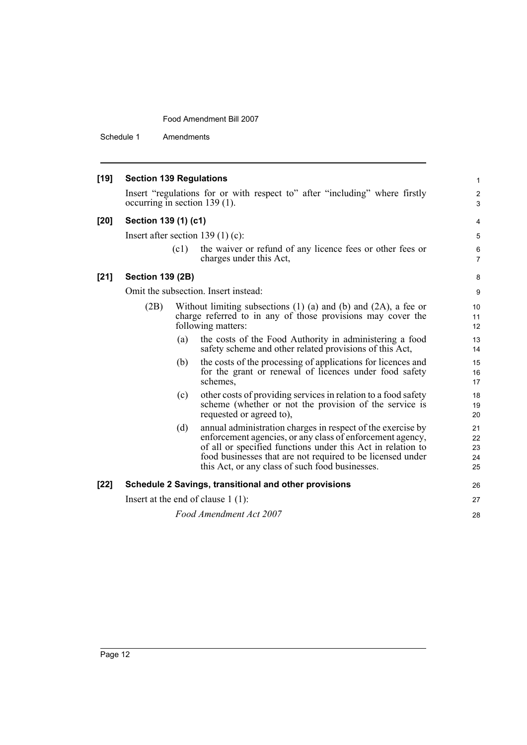|      |      |                                                                                                                                                                                                                                                                                                          | 1                                                                                                                                                                                                                                                                                                                                                                                                                                                                                                                                                                           |
|------|------|----------------------------------------------------------------------------------------------------------------------------------------------------------------------------------------------------------------------------------------------------------------------------------------------------------|-----------------------------------------------------------------------------------------------------------------------------------------------------------------------------------------------------------------------------------------------------------------------------------------------------------------------------------------------------------------------------------------------------------------------------------------------------------------------------------------------------------------------------------------------------------------------------|
|      |      |                                                                                                                                                                                                                                                                                                          | $\overline{\mathbf{c}}$<br>3                                                                                                                                                                                                                                                                                                                                                                                                                                                                                                                                                |
|      |      |                                                                                                                                                                                                                                                                                                          | 4                                                                                                                                                                                                                                                                                                                                                                                                                                                                                                                                                                           |
|      |      |                                                                                                                                                                                                                                                                                                          | 5                                                                                                                                                                                                                                                                                                                                                                                                                                                                                                                                                                           |
|      | (c1) | the waiver or refund of any licence fees or other fees or<br>charges under this Act,                                                                                                                                                                                                                     | 6<br>7                                                                                                                                                                                                                                                                                                                                                                                                                                                                                                                                                                      |
|      |      |                                                                                                                                                                                                                                                                                                          | 8                                                                                                                                                                                                                                                                                                                                                                                                                                                                                                                                                                           |
|      |      |                                                                                                                                                                                                                                                                                                          | 9                                                                                                                                                                                                                                                                                                                                                                                                                                                                                                                                                                           |
| (2B) |      |                                                                                                                                                                                                                                                                                                          | 10<br>11<br>12                                                                                                                                                                                                                                                                                                                                                                                                                                                                                                                                                              |
|      | (a)  | the costs of the Food Authority in administering a food<br>safety scheme and other related provisions of this Act,                                                                                                                                                                                       | 13<br>14                                                                                                                                                                                                                                                                                                                                                                                                                                                                                                                                                                    |
|      | (b)  | the costs of the processing of applications for licences and<br>for the grant or renewal of licences under food safety<br>schemes.                                                                                                                                                                       | 15<br>16<br>17                                                                                                                                                                                                                                                                                                                                                                                                                                                                                                                                                              |
|      | (c)  | other costs of providing services in relation to a food safety<br>scheme (whether or not the provision of the service is<br>requested or agreed to),                                                                                                                                                     | 18<br>19<br>20                                                                                                                                                                                                                                                                                                                                                                                                                                                                                                                                                              |
|      | (d)  | annual administration charges in respect of the exercise by<br>enforcement agencies, or any class of enforcement agency,<br>of all or specified functions under this Act in relation to<br>food businesses that are not required to be licensed under<br>this Act, or any class of such food businesses. | 21<br>22<br>23<br>24<br>25                                                                                                                                                                                                                                                                                                                                                                                                                                                                                                                                                  |
|      |      |                                                                                                                                                                                                                                                                                                          | 26                                                                                                                                                                                                                                                                                                                                                                                                                                                                                                                                                                          |
|      |      |                                                                                                                                                                                                                                                                                                          | 27                                                                                                                                                                                                                                                                                                                                                                                                                                                                                                                                                                          |
|      |      |                                                                                                                                                                                                                                                                                                          | 28                                                                                                                                                                                                                                                                                                                                                                                                                                                                                                                                                                          |
|      |      |                                                                                                                                                                                                                                                                                                          | <b>Section 139 Regulations</b><br>Insert "regulations for or with respect to" after "including" where firstly<br>occurring in section 139 (1).<br>Section 139 (1) (c1)<br>Insert after section 139 $(1)$ (c):<br><b>Section 139 (2B)</b><br>Omit the subsection. Insert instead:<br>Without limiting subsections $(1)$ (a) and $(b)$ and $(2A)$ , a fee or<br>charge referred to in any of those provisions may cover the<br>following matters:<br>Schedule 2 Savings, transitional and other provisions<br>Insert at the end of clause $1(1)$ :<br>Food Amendment Act 2007 |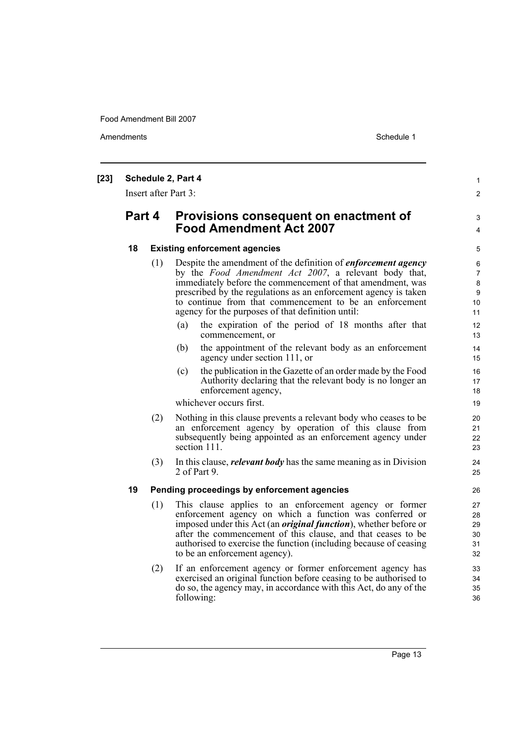|    | Insert after Part 3: | Schedule 2, Part 4                                                                                                                                                                                                                                                                                                                                                  |  |
|----|----------------------|---------------------------------------------------------------------------------------------------------------------------------------------------------------------------------------------------------------------------------------------------------------------------------------------------------------------------------------------------------------------|--|
|    | Part 4               | Provisions consequent on enactment of<br><b>Food Amendment Act 2007</b>                                                                                                                                                                                                                                                                                             |  |
| 18 |                      | <b>Existing enforcement agencies</b>                                                                                                                                                                                                                                                                                                                                |  |
|    | (1)                  | Despite the amendment of the definition of <i>enforcement agency</i><br>by the <i>Food Amendment Act 2007</i> , a relevant body that,<br>immediately before the commencement of that amendment, was<br>prescribed by the regulations as an enforcement agency is taken<br>to continue from that commencement to be an enforcement                                   |  |
|    |                      | agency for the purposes of that definition until:<br>the expiration of the period of 18 months after that<br>(a)                                                                                                                                                                                                                                                    |  |
|    |                      | commencement, or                                                                                                                                                                                                                                                                                                                                                    |  |
|    |                      | the appointment of the relevant body as an enforcement<br>(b)<br>agency under section 111, or                                                                                                                                                                                                                                                                       |  |
|    |                      | the publication in the Gazette of an order made by the Food<br>(c)<br>Authority declaring that the relevant body is no longer an<br>enforcement agency,                                                                                                                                                                                                             |  |
|    |                      | whichever occurs first.                                                                                                                                                                                                                                                                                                                                             |  |
|    | (2)                  | Nothing in this clause prevents a relevant body who ceases to be<br>an enforcement agency by operation of this clause from<br>subsequently being appointed as an enforcement agency under<br>section 111.                                                                                                                                                           |  |
|    | (3)                  | In this clause, <i>relevant body</i> has the same meaning as in Division<br>2 of Part 9.                                                                                                                                                                                                                                                                            |  |
| 19 |                      | Pending proceedings by enforcement agencies                                                                                                                                                                                                                                                                                                                         |  |
|    | (1)                  | This clause applies to an enforcement agency or former<br>enforcement agency on which a function was conferred or<br>imposed under this Act (an <i>original function</i> ), whether before or<br>after the commencement of this clause, and that ceases to be<br>authorised to exercise the function (including because of ceasing<br>to be an enforcement agency). |  |
|    | (2)                  | If an enforcement agency or former enforcement agency has<br>exercised an original function before ceasing to be authorised to<br>do so, the agency may, in accordance with this Act, do any of the<br>following:                                                                                                                                                   |  |